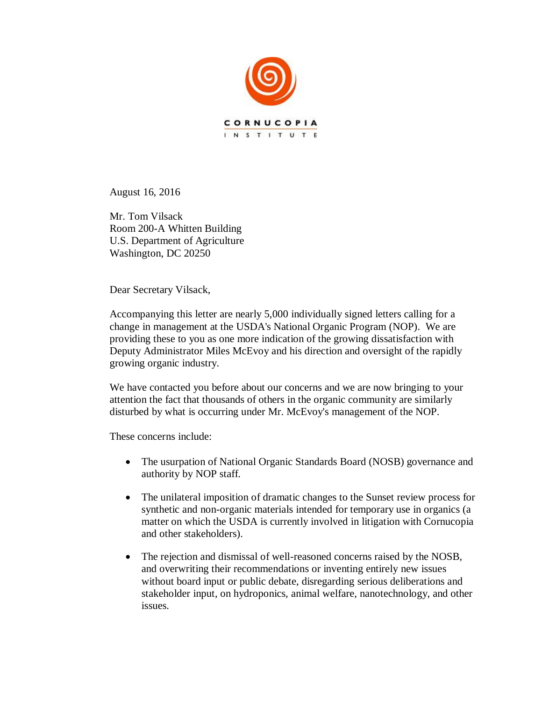

August 16, 2016

Mr. Tom Vilsack Room 200-A Whitten Building U.S. Department of Agriculture Washington, DC 20250

Dear Secretary Vilsack,

Accompanying this letter are nearly 5,000 individually signed letters calling for a change in management at the USDA's National Organic Program (NOP). We are providing these to you as one more indication of the growing dissatisfaction with Deputy Administrator Miles McEvoy and his direction and oversight of the rapidly growing organic industry.

We have contacted you before about our concerns and we are now bringing to your attention the fact that thousands of others in the organic community are similarly disturbed by what is occurring under Mr. McEvoy's management of the NOP.

These concerns include:

- The usurpation of National Organic Standards Board (NOSB) governance and authority by NOP staff.
- The unilateral imposition of dramatic changes to the Sunset review process for synthetic and non-organic materials intended for temporary use in organics (a matter on which the USDA is currently involved in litigation with Cornucopia and other stakeholders).
- The rejection and dismissal of well-reasoned concerns raised by the NOSB, and overwriting their recommendations or inventing entirely new issues without board input or public debate, disregarding serious deliberations and stakeholder input, on hydroponics, animal welfare, nanotechnology, and other issues.